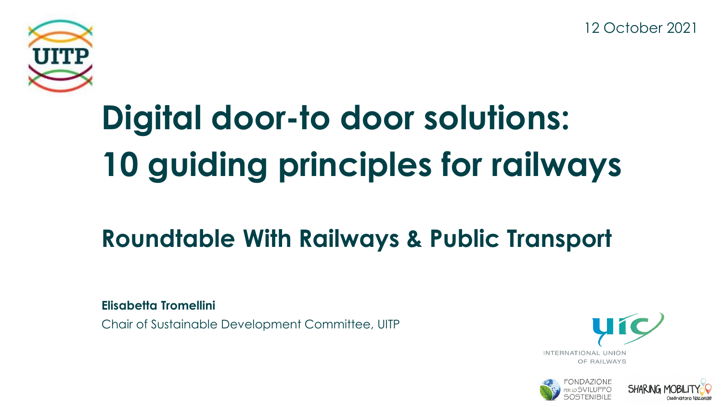12 October 2021



# **Digital door-to door solutions: 10 guiding principles for railways**

## **Roundtable With Railways & Public Transport**

**Elisabetta Tromellini**

Chair of Sustainable Development Committee, UITP





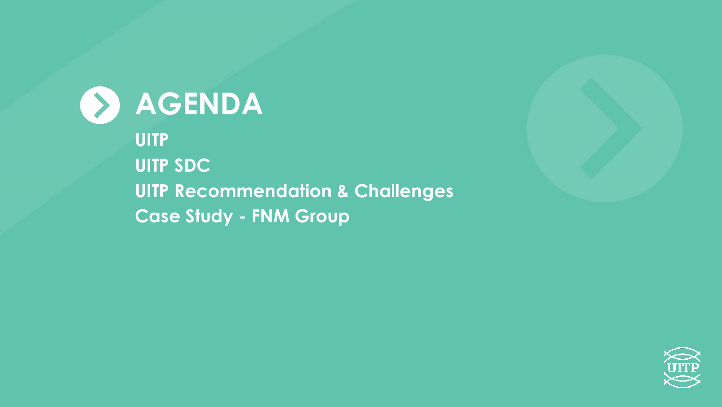



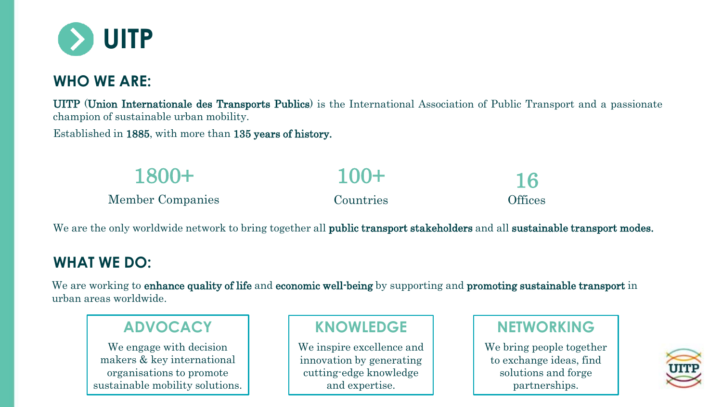

#### **WHO WE ARE:**

UITP (Union Internationale des Transports Publics) is the International Association of Public Transport and a passionate champion of sustainable urban mobility.

Established in 1885, with more than 135 years of history.

| 1800+                   | $100+$    | 16             |
|-------------------------|-----------|----------------|
| <b>Member Companies</b> | Countries | <b>Offices</b> |

We are the only worldwide network to bring together all **public transport stakeholders** and all **sustainable transport modes.** 

#### **WHAT WE DO:**

We are working to enhance quality of life and economic well-being by supporting and promoting sustainable transport in urban areas worldwide.

#### **ADVOCACY**

We engage with decision makers & key international organisations to promote sustainable mobility solutions.

#### **KNOWLEDGE**

We inspire excellence and innovation by generating cutting-edge knowledge and expertise.

### **NETWORKING**

We bring people together to exchange ideas, find solutions and forge partnerships.

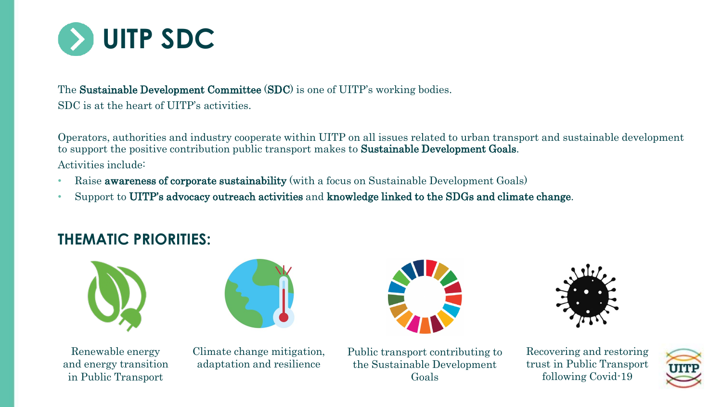

#### The Sustainable Development Committee (SDC) is one of UITP's working bodies. SDC is at the heart of UITP's activities.

Operators, authorities and industry cooperate within UITP on all issues related to urban transport and sustainable development to support the positive contribution public transport makes to Sustainable Development Goals. Activities include:

- Raise **awareness of corporate sustainability** (with a focus on Sustainable Development Goals)
- Support to UITP's advocacy outreach activities and knowledge linked to the SDGs and climate change.

#### **THEMATIC PRIORITIES:**







Climate change mitigation, adaptation and resilience





Public transport contributing to the Sustainable Development Goals

Recovering and restoring trust in Public Transport following Covid-19

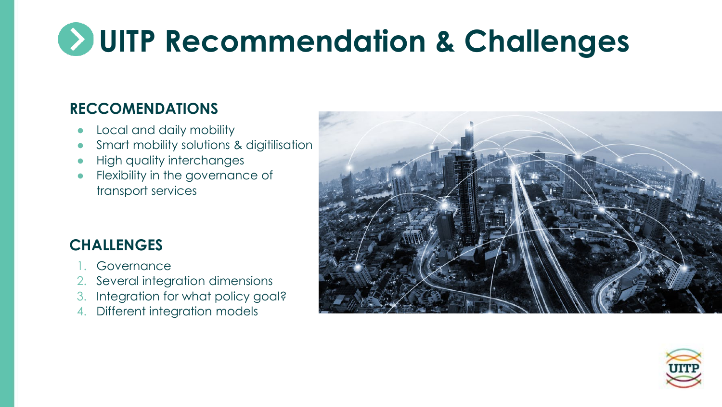# **UITP Recommendation & Challenges**

#### **RECCOMENDATIONS**

- Local and daily mobility
- Smart mobility solutions & digitilisation
- **High quality interchanges**
- Flexibility in the governance of transport services

### **CHALLENGES**

- **Governance**
- 2. Several integration dimensions
- 3. Integration for what policy goal?
- 4. Different integration models



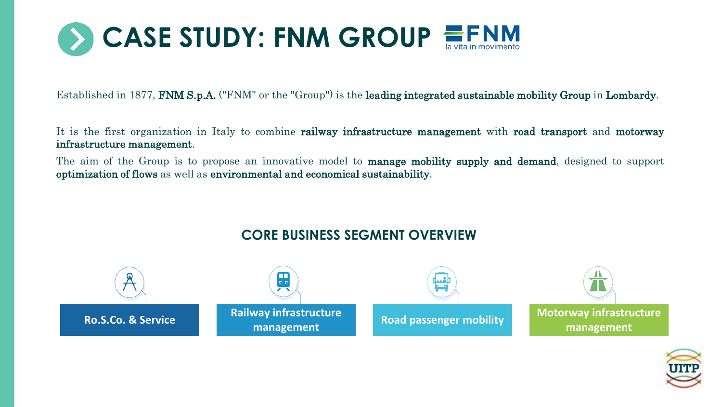

Established in 1877, FNM S.p.A. ("FNM" or the "Group") is the leading integrated sustainable mobility Group in Lombardy.

It is the first organization in Italy to combine railway infrastructure management with road transport and motorway infrastructure management.

The aim of the Group is to propose an innovative model to **manage mobility supply and demand**, designed to support optimization of flows as well as environmental and economical sustainability.



#### **CORE BUSINESS SEGMENT OVERVIEW**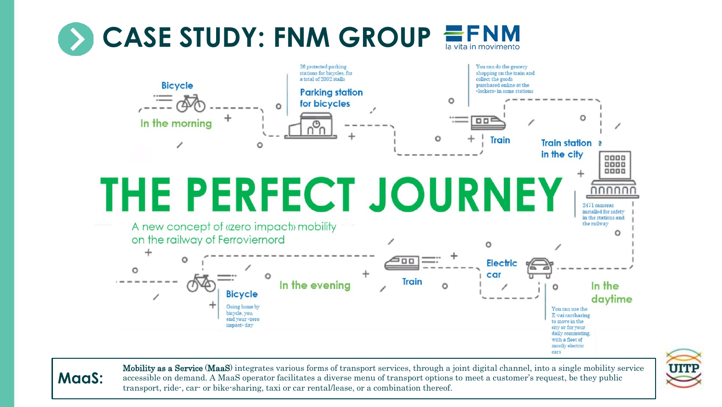#### CASE STUDY: FNM GROUP la vita in movimento







Mobility as a Service (MaaS) integrates various forms of transport services, through a joint digital channel, into a single mobility service accessible on demand. A MaaS operator facilitates a diverse menu of transport options to meet a customer's request, be they public transport, ride-, car- or bike-sharing, taxi or car rental/lease, or a combination thereof.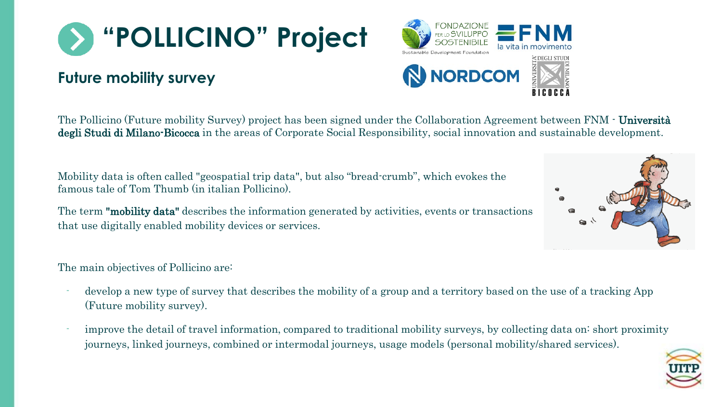

#### **Future mobility survey**

The Pollicino (Future mobility Survey) project has been signed under the Collaboration Agreement between FNM - Università degli Studi di Milano-Bicocca in the areas of Corporate Social Responsibility, social innovation and sustainable development.

Mobility data is often called "geospatial trip data", but also "bread-crumb", which evokes the famous tale of Tom Thumb (in italian Pollicino).

The term "mobility data" describes the information generated by activities, events or transactions that use digitally enabled mobility devices or services.

The main objectives of Pollicino are:

- develop a new type of survey that describes the mobility of a group and a territory based on the use of a tracking App (Future mobility survey).
- improve the detail of travel information, compared to traditional mobility surveys, by collecting data on short proximity journeys, linked journeys, combined or intermodal journeys, usage models (personal mobility/shared services).